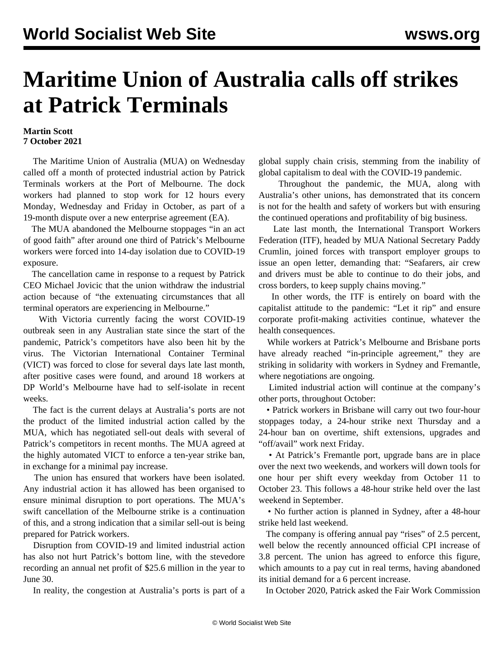## **Maritime Union of Australia calls off strikes at Patrick Terminals**

## **Martin Scott 7 October 2021**

 The Maritime Union of Australia (MUA) on Wednesday called off a month of protected industrial action by Patrick Terminals workers at the Port of Melbourne. The dock workers had planned to stop work for 12 hours every Monday, Wednesday and Friday in October, as part of a 19-month dispute over a new enterprise agreement (EA).

 The MUA abandoned the Melbourne stoppages "in an act of good faith" after around one third of Patrick's Melbourne workers were forced into 14-day isolation due to COVID-19 exposure.

 The cancellation came in response to a request by Patrick CEO Michael Jovicic that the union withdraw the industrial action because of "the extenuating circumstances that all terminal operators are experiencing in Melbourne."

 With Victoria currently facing the worst COVID-19 outbreak seen in any Australian state since the start of the pandemic, Patrick's competitors have also been hit by the virus. The Victorian International Container Terminal (VICT) was forced to close for several days late last month, after positive cases were found, and around 18 workers at DP World's Melbourne have had to self-isolate in recent weeks.

 The fact is the current delays at Australia's ports are not the product of the limited industrial action called by the MUA, which has negotiated sell-out deals with several of Patrick's competitors in recent months. The MUA agreed at the highly automated VICT to enforce a ten-year strike ban, in exchange for a minimal pay increase.

 The union has ensured that workers have been isolated. Any industrial action it has allowed has been organised to ensure minimal disruption to port operations. The MUA's swift cancellation of the Melbourne strike is a continuation of this, and a strong indication that a similar sell-out is being prepared for Patrick workers.

 Disruption from COVID-19 and limited industrial action has also not hurt Patrick's bottom line, with the stevedore recording an annual net profit of \$25.6 million in the year to June 30.

In reality, the congestion at Australia's ports is part of a

global supply chain crisis, stemming from the inability of global capitalism to deal with the COVID-19 pandemic.

 Throughout the pandemic, the MUA, along with Australia's other unions, has demonstrated that its concern is not for the health and safety of workers but with ensuring the continued operations and profitability of big business.

 Late last month, the International Transport Workers Federation (ITF), headed by MUA National Secretary Paddy Crumlin, joined forces with transport employer groups to issue an open letter, demanding that: "Seafarers, air crew and drivers must be able to continue to do their jobs, and cross borders, to keep supply chains moving."

 In other words, the ITF is entirely on board with the capitalist attitude to the pandemic: "Let it rip" and ensure corporate profit-making activities continue, whatever the health consequences.

 While workers at Patrick's Melbourne and Brisbane ports have already reached "in-principle agreement," they are striking in solidarity with workers in Sydney and Fremantle, where negotiations are ongoing.

 Limited industrial action will continue at the company's other ports, throughout October:

 • Patrick workers in Brisbane will carry out two four-hour stoppages today, a 24-hour strike next Thursday and a 24-hour ban on overtime, shift extensions, upgrades and "off/avail" work next Friday.

 • At Patrick's Fremantle port, upgrade bans are in place over the next two weekends, and workers will down tools for one hour per shift every weekday from October 11 to October 23. This follows a 48-hour strike held over the last weekend in September.

 • No further action is planned in Sydney, after a 48-hour strike held last weekend.

The company is offering annual pay "rises" of 2.5 percent, well below the recently announced official CPI increase of 3.8 percent. The union has agreed to enforce this figure, which amounts to a pay cut in real terms, having abandoned its initial demand for a 6 percent increase.

In October 2020, Patrick asked the Fair Work Commission